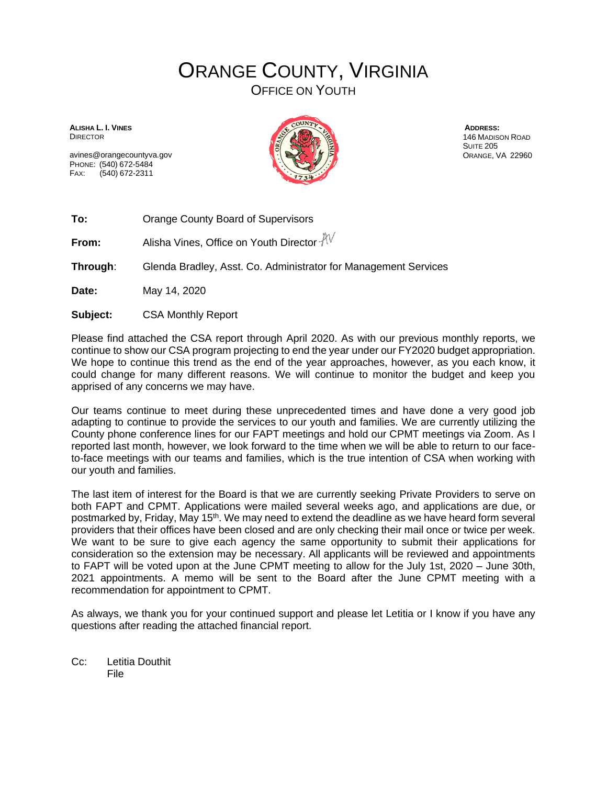## ORANGE COUNTY, VIRGINIA

OFFICE ON YOUTH

**ALISHA L. I. VINES** DIRECTOR

avines@orangecountyva.gov PHONE: (540) 672-5484 FAX: (540) 672-2311



**ADDRESS:** 146 MADISON ROAD SUITE 205 ORANGE, VA 22960

**To:** Orange County Board of Supervisors

**From:** Alisha Vines, Office on Youth Director  $\sqrt[3]{\sqrt{}}$ 

**Through**: Glenda Bradley, Asst. Co. Administrator for Management Services

**Date:** May 14, 2020

**Subject:** CSA Monthly Report

Please find attached the CSA report through April 2020. As with our previous monthly reports, we continue to show our CSA program projecting to end the year under our FY2020 budget appropriation. We hope to continue this trend as the end of the year approaches, however, as you each know, it could change for many different reasons. We will continue to monitor the budget and keep you apprised of any concerns we may have.

Our teams continue to meet during these unprecedented times and have done a very good job adapting to continue to provide the services to our youth and families. We are currently utilizing the County phone conference lines for our FAPT meetings and hold our CPMT meetings via Zoom. As I reported last month, however, we look forward to the time when we will be able to return to our faceto-face meetings with our teams and families, which is the true intention of CSA when working with our youth and families.

The last item of interest for the Board is that we are currently seeking Private Providers to serve on both FAPT and CPMT. Applications were mailed several weeks ago, and applications are due, or postmarked by, Friday, May 15<sup>th</sup>. We may need to extend the deadline as we have heard form several providers that their offices have been closed and are only checking their mail once or twice per week. We want to be sure to give each agency the same opportunity to submit their applications for consideration so the extension may be necessary. All applicants will be reviewed and appointments to FAPT will be voted upon at the June CPMT meeting to allow for the July 1st, 2020 – June 30th, 2021 appointments. A memo will be sent to the Board after the June CPMT meeting with a recommendation for appointment to CPMT.

As always, we thank you for your continued support and please let Letitia or I know if you have any questions after reading the attached financial report.

Cc: Letitia Douthit File